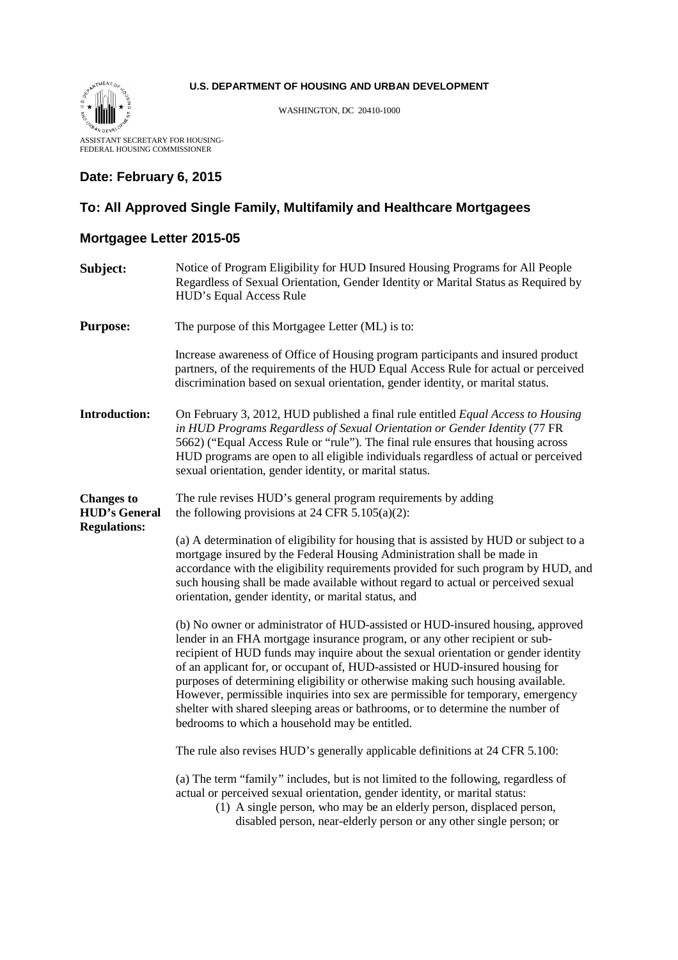#### **U.S. DEPARTMENT OF HOUSING AND URBAN DEVELOPMENT**



WASHINGTON, DC 20410-1000

ASSISTANT SECRETARY FOR HOUSING-FEDERAL HOUSING COMMISSIONER

#### **Date: February 6, 2015**

### **To: All Approved Single Family, Multifamily and Healthcare Mortgagees**

## **Mortgagee Letter 2015-05**

| Subject:                                                         | Notice of Program Eligibility for HUD Insured Housing Programs for All People<br>Regardless of Sexual Orientation, Gender Identity or Marital Status as Required by<br>HUD's Equal Access Rule                                                                                                                                                                                                                                                                                                                                                                                                                                                 |
|------------------------------------------------------------------|------------------------------------------------------------------------------------------------------------------------------------------------------------------------------------------------------------------------------------------------------------------------------------------------------------------------------------------------------------------------------------------------------------------------------------------------------------------------------------------------------------------------------------------------------------------------------------------------------------------------------------------------|
| <b>Purpose:</b>                                                  | The purpose of this Mortgagee Letter (ML) is to:                                                                                                                                                                                                                                                                                                                                                                                                                                                                                                                                                                                               |
|                                                                  | Increase awareness of Office of Housing program participants and insured product<br>partners, of the requirements of the HUD Equal Access Rule for actual or perceived<br>discrimination based on sexual orientation, gender identity, or marital status.                                                                                                                                                                                                                                                                                                                                                                                      |
| <b>Introduction:</b>                                             | On February 3, 2012, HUD published a final rule entitled Equal Access to Housing<br>in HUD Programs Regardless of Sexual Orientation or Gender Identity (77 FR<br>5662) ("Equal Access Rule or "rule"). The final rule ensures that housing across<br>HUD programs are open to all eligible individuals regardless of actual or perceived<br>sexual orientation, gender identity, or marital status.                                                                                                                                                                                                                                           |
| <b>Changes to</b><br><b>HUD's General</b><br><b>Regulations:</b> | The rule revises HUD's general program requirements by adding<br>the following provisions at 24 CFR $5.105(a)(2)$ :                                                                                                                                                                                                                                                                                                                                                                                                                                                                                                                            |
|                                                                  | (a) A determination of eligibility for housing that is assisted by HUD or subject to a<br>mortgage insured by the Federal Housing Administration shall be made in<br>accordance with the eligibility requirements provided for such program by HUD, and<br>such housing shall be made available without regard to actual or perceived sexual<br>orientation, gender identity, or marital status, and                                                                                                                                                                                                                                           |
|                                                                  | (b) No owner or administrator of HUD-assisted or HUD-insured housing, approved<br>lender in an FHA mortgage insurance program, or any other recipient or sub-<br>recipient of HUD funds may inquire about the sexual orientation or gender identity<br>of an applicant for, or occupant of, HUD-assisted or HUD-insured housing for<br>purposes of determining eligibility or otherwise making such housing available.<br>However, permissible inquiries into sex are permissible for temporary, emergency<br>shelter with shared sleeping areas or bathrooms, or to determine the number of<br>bedrooms to which a household may be entitled. |
|                                                                  | The rule also revises HUD's generally applicable definitions at 24 CFR 5.100:                                                                                                                                                                                                                                                                                                                                                                                                                                                                                                                                                                  |
|                                                                  | (a) The term "family" includes, but is not limited to the following, regardless of<br>actual or perceived sexual orientation, gender identity, or marital status:<br>(1) A single person, who may be an elderly person, displaced person,<br>disabled person, near-elderly person or any other single person; or                                                                                                                                                                                                                                                                                                                               |
|                                                                  |                                                                                                                                                                                                                                                                                                                                                                                                                                                                                                                                                                                                                                                |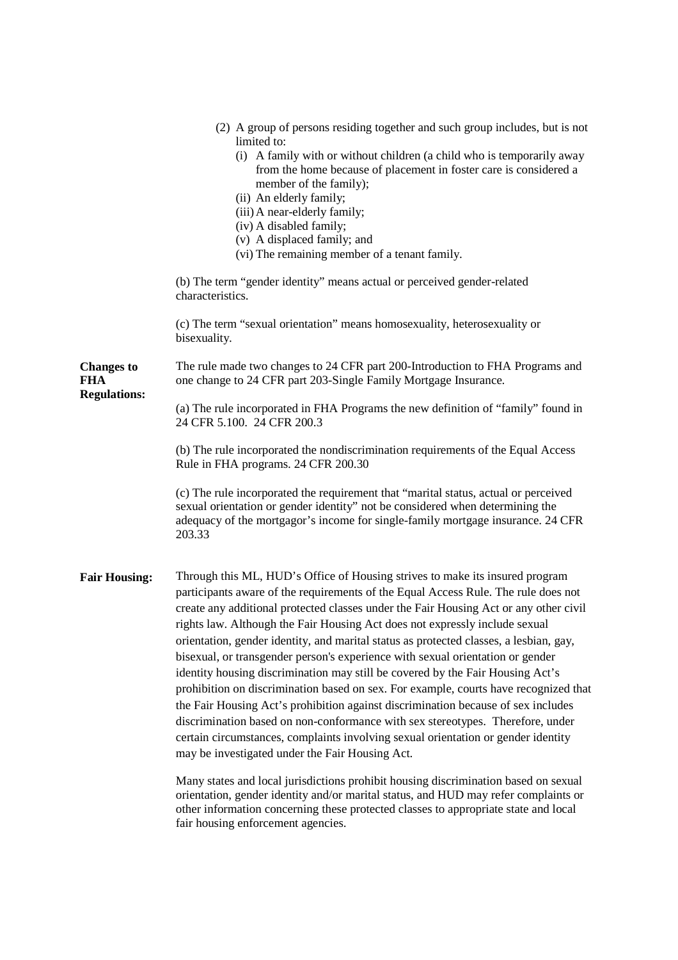|                                                        | (2) A group of persons residing together and such group includes, but is not<br>limited to:<br>(i) A family with or without children (a child who is temporarily away<br>from the home because of placement in foster care is considered a<br>member of the family);<br>(ii) An elderly family;<br>(iii) A near-elderly family;<br>(iv) A disabled family;<br>(v) A displaced family; and<br>(vi) The remaining member of a tenant family.                                                                                                                                                                                                                                                                                                                                                                                                                                                                                                                                                                                                                                                                                                                                                                                                                                           |
|--------------------------------------------------------|--------------------------------------------------------------------------------------------------------------------------------------------------------------------------------------------------------------------------------------------------------------------------------------------------------------------------------------------------------------------------------------------------------------------------------------------------------------------------------------------------------------------------------------------------------------------------------------------------------------------------------------------------------------------------------------------------------------------------------------------------------------------------------------------------------------------------------------------------------------------------------------------------------------------------------------------------------------------------------------------------------------------------------------------------------------------------------------------------------------------------------------------------------------------------------------------------------------------------------------------------------------------------------------|
|                                                        | (b) The term "gender identity" means actual or perceived gender-related<br>characteristics.                                                                                                                                                                                                                                                                                                                                                                                                                                                                                                                                                                                                                                                                                                                                                                                                                                                                                                                                                                                                                                                                                                                                                                                          |
|                                                        | (c) The term "sexual orientation" means homosexuality, heterosexuality or<br>bisexuality.                                                                                                                                                                                                                                                                                                                                                                                                                                                                                                                                                                                                                                                                                                                                                                                                                                                                                                                                                                                                                                                                                                                                                                                            |
| <b>Changes to</b><br><b>FHA</b><br><b>Regulations:</b> | The rule made two changes to 24 CFR part 200-Introduction to FHA Programs and<br>one change to 24 CFR part 203-Single Family Mortgage Insurance.                                                                                                                                                                                                                                                                                                                                                                                                                                                                                                                                                                                                                                                                                                                                                                                                                                                                                                                                                                                                                                                                                                                                     |
|                                                        | (a) The rule incorporated in FHA Programs the new definition of "family" found in<br>24 CFR 5.100. 24 CFR 200.3                                                                                                                                                                                                                                                                                                                                                                                                                                                                                                                                                                                                                                                                                                                                                                                                                                                                                                                                                                                                                                                                                                                                                                      |
|                                                        | (b) The rule incorporated the nondiscrimination requirements of the Equal Access<br>Rule in FHA programs. 24 CFR 200.30                                                                                                                                                                                                                                                                                                                                                                                                                                                                                                                                                                                                                                                                                                                                                                                                                                                                                                                                                                                                                                                                                                                                                              |
|                                                        | (c) The rule incorporated the requirement that "marital status, actual or perceived<br>sexual orientation or gender identity" not be considered when determining the<br>adequacy of the mortgagor's income for single-family mortgage insurance. 24 CFR<br>203.33                                                                                                                                                                                                                                                                                                                                                                                                                                                                                                                                                                                                                                                                                                                                                                                                                                                                                                                                                                                                                    |
| <b>Fair Housing:</b>                                   | Through this ML, HUD's Office of Housing strives to make its insured program<br>participants aware of the requirements of the Equal Access Rule. The rule does not<br>create any additional protected classes under the Fair Housing Act or any other civil<br>rights law. Although the Fair Housing Act does not expressly include sexual<br>orientation, gender identity, and marital status as protected classes, a lesbian, gay,<br>bisexual, or transgender person's experience with sexual orientation or gender<br>identity housing discrimination may still be covered by the Fair Housing Act's<br>prohibition on discrimination based on sex. For example, courts have recognized that<br>the Fair Housing Act's prohibition against discrimination because of sex includes<br>discrimination based on non-conformance with sex stereotypes. Therefore, under<br>certain circumstances, complaints involving sexual orientation or gender identity<br>may be investigated under the Fair Housing Act.<br>Many states and local jurisdictions prohibit housing discrimination based on sexual<br>orientation, gender identity and/or marital status, and HUD may refer complaints or<br>other information concerning these protected classes to appropriate state and local |

fair housing enforcement agencies.